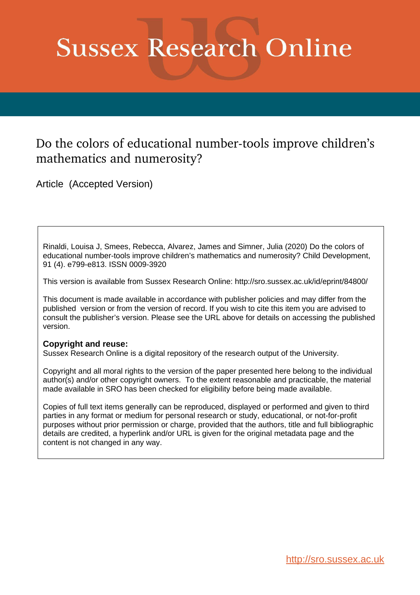# **Sussex Research Online**

# Do the colors of educational number-tools improve children's mathematics and numerosity?

Article (Accepted Version)

Rinaldi, Louisa J, Smees, Rebecca, Alvarez, James and Simner, Julia (2020) Do the colors of educational number-tools improve children's mathematics and numerosity? Child Development, 91 (4). e799-e813. ISSN 0009-3920

This version is available from Sussex Research Online: http://sro.sussex.ac.uk/id/eprint/84800/

This document is made available in accordance with publisher policies and may differ from the published version or from the version of record. If you wish to cite this item you are advised to consult the publisher's version. Please see the URL above for details on accessing the published version.

# **Copyright and reuse:**

Sussex Research Online is a digital repository of the research output of the University.

Copyright and all moral rights to the version of the paper presented here belong to the individual author(s) and/or other copyright owners. To the extent reasonable and practicable, the material made available in SRO has been checked for eligibility before being made available.

Copies of full text items generally can be reproduced, displayed or performed and given to third parties in any format or medium for personal research or study, educational, or not-for-profit purposes without prior permission or charge, provided that the authors, title and full bibliographic details are credited, a hyperlink and/or URL is given for the original metadata page and the content is not changed in any way.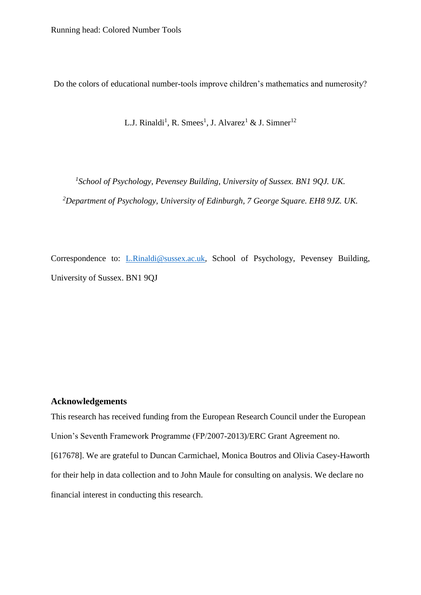Do the colors of educational number-tools improve children's mathematics and numerosity?

L.J. Rinaldi<sup>1</sup>, R. Smees<sup>1</sup>, J. Alvarez<sup>1</sup> & J. Simner<sup>12</sup>

*1 School of Psychology, Pevensey Building, University of Sussex. BN1 9QJ. UK. <sup>2</sup>Department of Psychology, University of Edinburgh, 7 George Square. EH8 9JZ. UK.*

Correspondence to: [L.Rinaldi@sussex.ac.uk,](mailto:L.Rinaldi@sussex.ac.uk) School of Psychology, Pevensey Building, University of Sussex. BN1 9QJ

# **Acknowledgements**

This research has received funding from the European Research Council under the European Union's Seventh Framework Programme (FP/2007-2013)/ERC Grant Agreement no. [617678]. We are grateful to Duncan Carmichael, Monica Boutros and Olivia Casey-Haworth for their help in data collection and to John Maule for consulting on analysis. We declare no financial interest in conducting this research.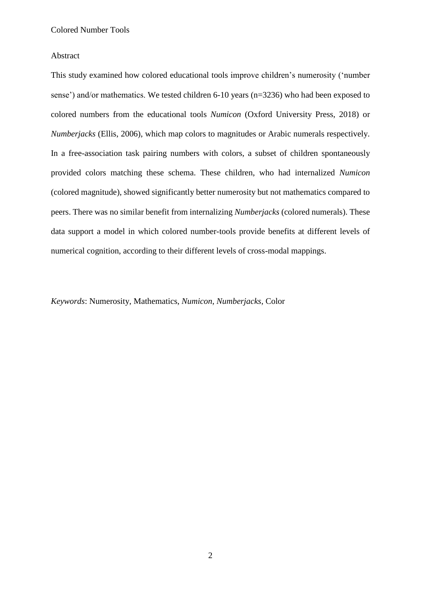#### Abstract

This study examined how colored educational tools improve children's numerosity ('number sense') and/or mathematics. We tested children 6-10 years (n=3236) who had been exposed to colored numbers from the educational tools *Numicon* (Oxford University Press, 2018) or *Numberjacks* (Ellis, 2006), which map colors to magnitudes or Arabic numerals respectively. In a free-association task pairing numbers with colors, a subset of children spontaneously provided colors matching these schema. These children, who had internalized *Numicon* (colored magnitude), showed significantly better numerosity but not mathematics compared to peers. There was no similar benefit from internalizing *Numberjacks* (colored numerals). These data support a model in which colored number-tools provide benefits at different levels of numerical cognition, according to their different levels of cross-modal mappings.

*Keywords*: Numerosity, Mathematics, *Numicon*, *Numberjacks*, Color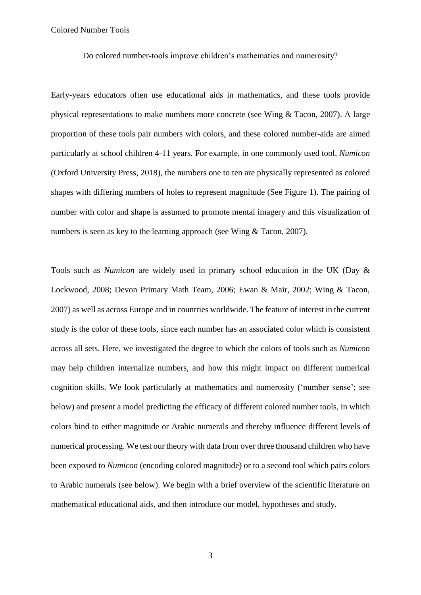Do colored number-tools improve children's mathematics and numerosity?

Early-years educators often use educational aids in mathematics, and these tools provide physical representations to make numbers more concrete (see Wing & Tacon, 2007). A large proportion of these tools pair numbers with colors, and these colored number-aids are aimed particularly at school children 4-11 years. For example, in one commonly used tool, *Numicon* (Oxford University Press, 2018), the numbers one to ten are physically represented as colored shapes with differing numbers of holes to represent magnitude (See Figure 1). The pairing of number with color and shape is assumed to promote mental imagery and this visualization of numbers is seen as key to the learning approach (see Wing & Tacon, 2007).

Tools such as *Numicon* are widely used in primary school education in the UK (Day & Lockwood, 2008; Devon Primary Math Team, 2006; Ewan & Mair, 2002; Wing & Tacon, 2007) as well as across Europe and in countries worldwide. The feature of interest in the current study is the color of these tools, since each number has an associated color which is consistent across all sets. Here, we investigated the degree to which the colors of tools such as *Numicon* may help children internalize numbers, and how this might impact on different numerical cognition skills. We look particularly at mathematics and numerosity ('number sense'; see below) and present a model predicting the efficacy of different colored number tools, in which colors bind to either magnitude or Arabic numerals and thereby influence different levels of numerical processing. We test our theory with data from over three thousand children who have been exposed to *Numicon* (encoding colored magnitude) or to a second tool which pairs colors to Arabic numerals (see below). We begin with a brief overview of the scientific literature on mathematical educational aids, and then introduce our model, hypotheses and study.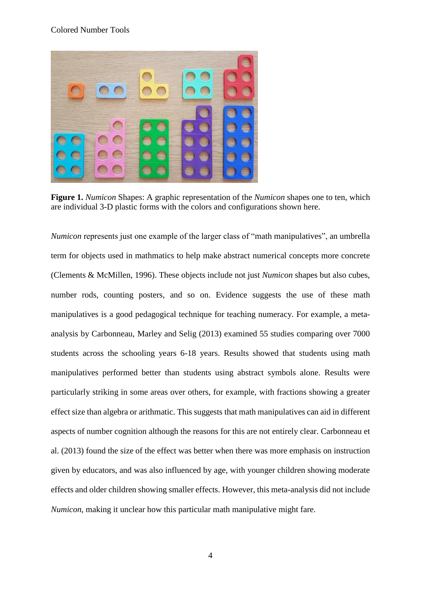

**Figure 1.** *Numicon* Shapes: A graphic representation of the *Numicon* shapes one to ten, which are individual 3-D plastic forms with the colors and configurations shown here.

*Numicon* represents just one example of the larger class of "math manipulatives", an umbrella term for objects used in mathmatics to help make abstract numerical concepts more concrete (Clements & McMillen, 1996). These objects include not just *Numicon* shapes but also cubes, number rods, counting posters, and so on. Evidence suggests the use of these math manipulatives is a good pedagogical technique for teaching numeracy. For example, a metaanalysis by Carbonneau, Marley and Selig (2013) examined 55 studies comparing over 7000 students across the schooling years 6-18 years. Results showed that students using math manipulatives performed better than students using abstract symbols alone. Results were particularly striking in some areas over others, for example, with fractions showing a greater effect size than algebra or arithmatic. This suggests that math manipulatives can aid in different aspects of number cognition although the reasons for this are not entirely clear. Carbonneau et al. (2013) found the size of the effect was better when there was more emphasis on instruction given by educators, and was also influenced by age, with younger children showing moderate effects and older children showing smaller effects. However, this meta-analysis did not include *Numicon*, making it unclear how this particular math manipulative might fare.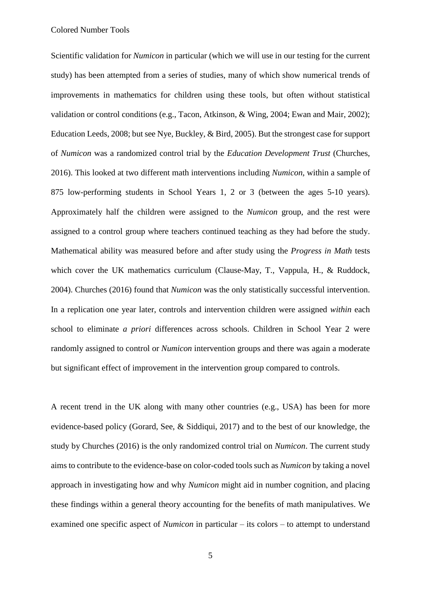Scientific validation for *Numicon* in particular (which we will use in our testing for the current study) has been attempted from a series of studies, many of which show numerical trends of improvements in mathematics for children using these tools, but often without statistical validation or control conditions (e.g., Tacon, Atkinson, & Wing, 2004; Ewan and Mair, 2002); Education Leeds, 2008; but see Nye, Buckley, & Bird, 2005). But the strongest case for support of *Numicon* was a randomized control trial by the *Education Development Trust* (Churches, 2016). This looked at two different math interventions including *Numicon*, within a sample of 875 low-performing students in School Years 1, 2 or 3 (between the ages 5-10 years). Approximately half the children were assigned to the *Numicon* group, and the rest were assigned to a control group where teachers continued teaching as they had before the study. Mathematical ability was measured before and after study using the *Progress in Math* tests which cover the UK mathematics curriculum (Clause-May, T., Vappula, H., & Ruddock, 2004). Churches (2016) found that *Numicon* was the only statistically successful intervention. In a replication one year later, controls and intervention children were assigned *within* each school to eliminate *a priori* differences across schools. Children in School Year 2 were randomly assigned to control or *Numicon* intervention groups and there was again a moderate but significant effect of improvement in the intervention group compared to controls.

A recent trend in the UK along with many other countries (e.g., USA) has been for more evidence-based policy (Gorard, See, & Siddiqui, 2017) and to the best of our knowledge, the study by Churches (2016) is the only randomized control trial on *Numicon*. The current study aims to contribute to the evidence-base on color-coded tools such as *Numicon* by taking a novel approach in investigating how and why *Numicon* might aid in number cognition, and placing these findings within a general theory accounting for the benefits of math manipulatives. We examined one specific aspect of *Numicon* in particular – its colors – to attempt to understand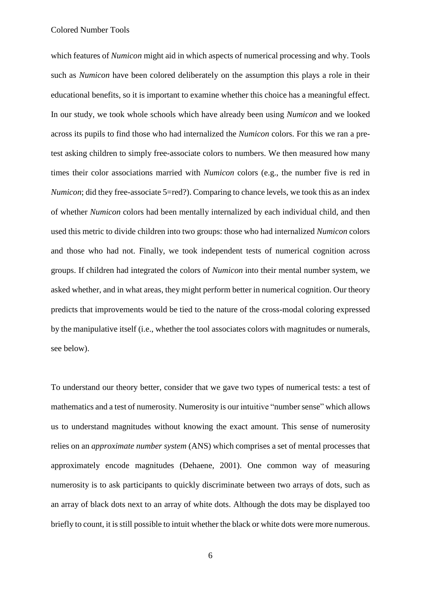which features of *Numicon* might aid in which aspects of numerical processing and why. Tools such as *Numicon* have been colored deliberately on the assumption this plays a role in their educational benefits, so it is important to examine whether this choice has a meaningful effect. In our study, we took whole schools which have already been using *Numicon* and we looked across its pupils to find those who had internalized the *Numicon* colors. For this we ran a pretest asking children to simply free-associate colors to numbers. We then measured how many times their color associations married with *Numicon* colors (e.g., the number five is red in *Numicon*; did they free-associate 5=red?). Comparing to chance levels, we took this as an index of whether *Numicon* colors had been mentally internalized by each individual child, and then used this metric to divide children into two groups: those who had internalized *Numicon* colors and those who had not. Finally, we took independent tests of numerical cognition across groups. If children had integrated the colors of *Numicon* into their mental number system, we asked whether, and in what areas, they might perform better in numerical cognition. Our theory predicts that improvements would be tied to the nature of the cross-modal coloring expressed by the manipulative itself (i.e., whether the tool associates colors with magnitudes or numerals, see below).

To understand our theory better, consider that we gave two types of numerical tests: a test of mathematics and a test of numerosity. Numerosity is our intuitive "number sense" which allows us to understand magnitudes without knowing the exact amount. This sense of numerosity relies on an *approximate number system* (ANS) which comprises a set of mental processes that approximately encode magnitudes (Dehaene, 2001). One common way of measuring numerosity is to ask participants to quickly discriminate between two arrays of dots, such as an array of black dots next to an array of white dots. Although the dots may be displayed too briefly to count, it is still possible to intuit whether the black or white dots were more numerous.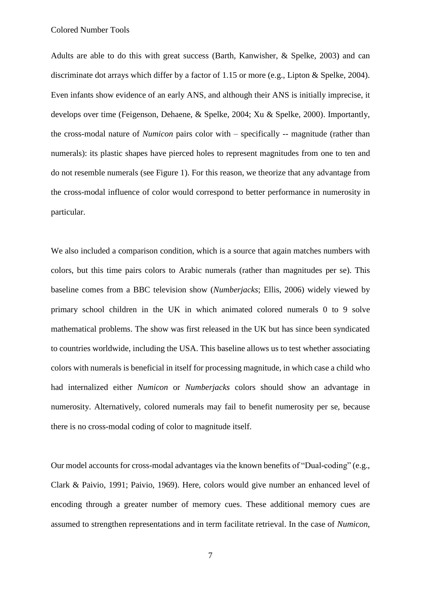Adults are able to do this with great success (Barth, Kanwisher, & Spelke, 2003) and can discriminate dot arrays which differ by a factor of 1.15 or more (e.g., Lipton & Spelke, 2004). Even infants show evidence of an early ANS, and although their ANS is initially imprecise, it develops over time (Feigenson, Dehaene, & Spelke, 2004; Xu & Spelke, 2000). Importantly, the cross-modal nature of *Numicon* pairs color with – specifically -- magnitude (rather than numerals): its plastic shapes have pierced holes to represent magnitudes from one to ten and do not resemble numerals (see Figure 1). For this reason, we theorize that any advantage from the cross-modal influence of color would correspond to better performance in numerosity in particular.

We also included a comparison condition, which is a source that again matches numbers with colors, but this time pairs colors to Arabic numerals (rather than magnitudes per se). This baseline comes from a BBC television show (*Numberjacks*; Ellis, 2006) widely viewed by primary school children in the UK in which animated colored numerals 0 to 9 solve mathematical problems. The show was first released in the UK but has since been syndicated to countries worldwide, including the USA. This baseline allows us to test whether associating colors with numerals is beneficial in itself for processing magnitude, in which case a child who had internalized either *Numicon* or *Numberjacks* colors should show an advantage in numerosity. Alternatively, colored numerals may fail to benefit numerosity per se, because there is no cross-modal coding of color to magnitude itself.

Our model accounts for cross-modal advantages via the known benefits of "Dual-coding" (e.g., Clark & Paivio, 1991; Paivio, 1969). Here, colors would give number an enhanced level of encoding through a greater number of memory cues. These additional memory cues are assumed to strengthen representations and in term facilitate retrieval. In the case of *Numicon*,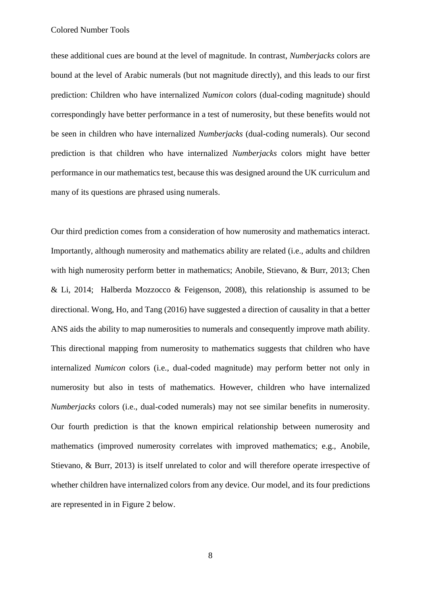these additional cues are bound at the level of magnitude. In contrast, *Numberjacks* colors are bound at the level of Arabic numerals (but not magnitude directly), and this leads to our first prediction: Children who have internalized *Numicon* colors (dual-coding magnitude) should correspondingly have better performance in a test of numerosity, but these benefits would not be seen in children who have internalized *Numberjacks* (dual-coding numerals). Our second prediction is that children who have internalized *Numberjacks* colors might have better performance in our mathematics test, because this was designed around the UK curriculum and many of its questions are phrased using numerals.

Our third prediction comes from a consideration of how numerosity and mathematics interact. Importantly, although numerosity and mathematics ability are related (i.e., adults and children with high numerosity perform better in mathematics; Anobile, Stievano, & Burr, 2013; Chen & Li, 2014; Halberda Mozzocco & Feigenson, 2008), this relationship is assumed to be directional. Wong, Ho, and Tang (2016) have suggested a direction of causality in that a better ANS aids the ability to map numerosities to numerals and consequently improve math ability. This directional mapping from numerosity to mathematics suggests that children who have internalized *Numicon* colors (i.e., dual-coded magnitude) may perform better not only in numerosity but also in tests of mathematics. However, children who have internalized *Numberjacks* colors (i.e., dual-coded numerals) may not see similar benefits in numerosity. Our fourth prediction is that the known empirical relationship between numerosity and mathematics (improved numerosity correlates with improved mathematics; e.g., Anobile, Stievano, & Burr, 2013) is itself unrelated to color and will therefore operate irrespective of whether children have internalized colors from any device. Our model, and its four predictions are represented in in Figure 2 below.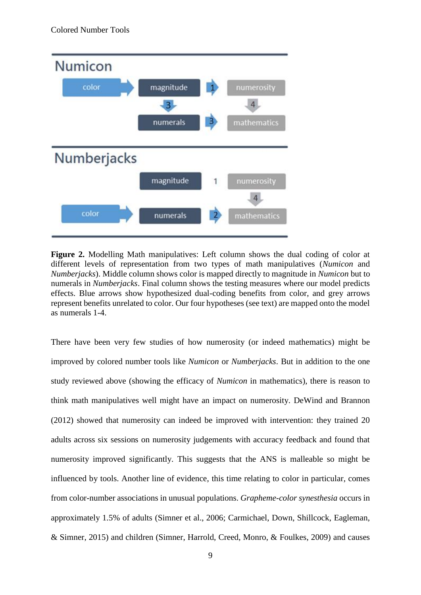

**Figure 2.** Modelling Math manipulatives: Left column shows the dual coding of color at different levels of representation from two types of math manipulatives (*Numicon* and *Numberjacks*). Middle column shows color is mapped directly to magnitude in *Numicon* but to numerals in *Numberjacks*. Final column shows the testing measures where our model predicts effects. Blue arrows show hypothesized dual-coding benefits from color, and grey arrows represent benefits unrelated to color. Our four hypotheses (see text) are mapped onto the model as numerals 1-4.

There have been very few studies of how numerosity (or indeed mathematics) might be improved by colored number tools like *Numicon* or *Numberjacks*. But in addition to the one study reviewed above (showing the efficacy of *Numicon* in mathematics), there is reason to think math manipulatives well might have an impact on numerosity. DeWind and Brannon (2012) showed that numerosity can indeed be improved with intervention: they trained 20 adults across six sessions on numerosity judgements with accuracy feedback and found that numerosity improved significantly. This suggests that the ANS is malleable so might be influenced by tools. Another line of evidence, this time relating to color in particular, comes from color-number associations in unusual populations. *Grapheme-color synesthesia* occurs in approximately 1.5% of adults (Simner et al., 2006; Carmichael, Down, Shillcock, Eagleman, & Simner, 2015) and children (Simner, Harrold, Creed, Monro, & Foulkes, 2009) and causes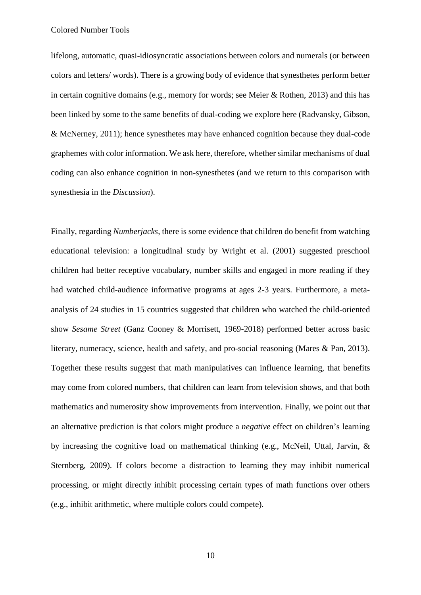lifelong, automatic, quasi-idiosyncratic associations between colors and numerals (or between colors and letters/ words). There is a growing body of evidence that synesthetes perform better in certain cognitive domains (e.g., memory for words; see Meier & Rothen, 2013) and this has been linked by some to the same benefits of dual-coding we explore here (Radvansky, Gibson, & McNerney, 2011); hence synesthetes may have enhanced cognition because they dual-code graphemes with color information. We ask here, therefore, whether similar mechanisms of dual coding can also enhance cognition in non-synesthetes (and we return to this comparison with synesthesia in the *Discussion*).

Finally, regarding *Numberjacks*, there is some evidence that children do benefit from watching educational television: a longitudinal study by Wright et al. (2001) suggested preschool children had better receptive vocabulary, number skills and engaged in more reading if they had watched child-audience informative programs at ages 2-3 years. Furthermore, a metaanalysis of 24 studies in 15 countries suggested that children who watched the child-oriented show *Sesame Street* (Ganz Cooney & Morrisett, 1969-2018) performed better across basic literary, numeracy, science, health and safety, and pro-social reasoning (Mares & Pan, 2013). Together these results suggest that math manipulatives can influence learning, that benefits may come from colored numbers, that children can learn from television shows, and that both mathematics and numerosity show improvements from intervention. Finally, we point out that an alternative prediction is that colors might produce a *negative* effect on children's learning by increasing the cognitive load on mathematical thinking (e.g., McNeil, Uttal, Jarvin, & Sternberg, 2009). If colors become a distraction to learning they may inhibit numerical processing, or might directly inhibit processing certain types of math functions over others (e.g., inhibit arithmetic, where multiple colors could compete).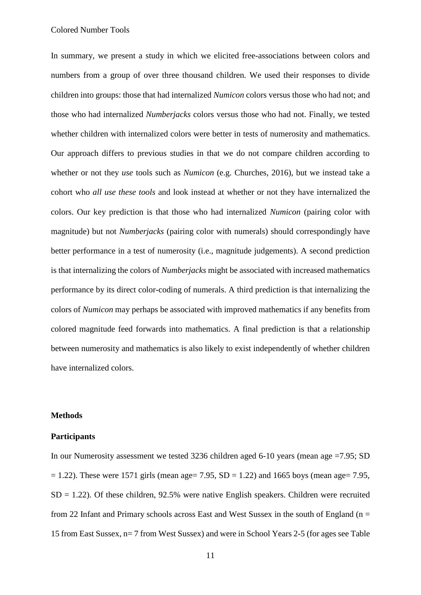In summary, we present a study in which we elicited free-associations between colors and numbers from a group of over three thousand children. We used their responses to divide children into groups: those that had internalized *Numicon* colors versus those who had not; and those who had internalized *Numberjacks* colors versus those who had not. Finally, we tested whether children with internalized colors were better in tests of numerosity and mathematics. Our approach differs to previous studies in that we do not compare children according to whether or not they *use* tools such as *Numicon* (e.g. Churches, 2016), but we instead take a cohort who *all use these tools* and look instead at whether or not they have internalized the colors. Our key prediction is that those who had internalized *Numicon* (pairing color with magnitude) but not *Numberjacks* (pairing color with numerals) should correspondingly have better performance in a test of numerosity (i.e., magnitude judgements). A second prediction is that internalizing the colors of *Numberjacks* might be associated with increased mathematics performance by its direct color-coding of numerals. A third prediction is that internalizing the colors of *Numicon* may perhaps be associated with improved mathematics if any benefits from colored magnitude feed forwards into mathematics. A final prediction is that a relationship between numerosity and mathematics is also likely to exist independently of whether children have internalized colors.

# **Methods**

# **Participants**

In our Numerosity assessment we tested 3236 children aged 6-10 years (mean age =7.95; SD  $= 1.22$ ). These were 1571 girls (mean age = 7.95, SD = 1.22) and 1665 boys (mean age = 7.95,  $SD = 1.22$ ). Of these children, 92.5% were native English speakers. Children were recruited from 22 Infant and Primary schools across East and West Sussex in the south of England ( $n =$ 15 from East Sussex, n= 7 from West Sussex) and were in School Years 2-5 (for ages see Table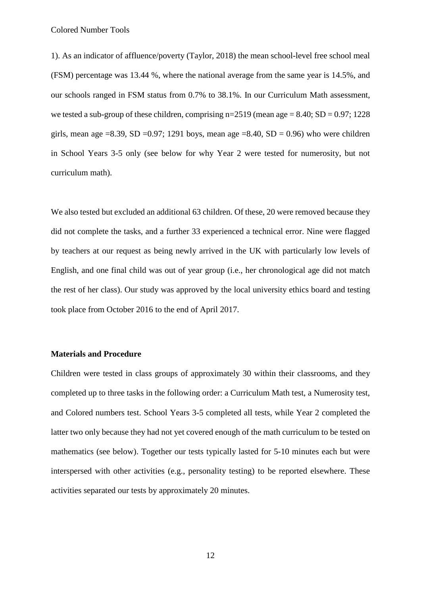1). As an indicator of affluence/poverty (Taylor, 2018) the mean school-level free school meal (FSM) percentage was 13.44 %, where the national average from the same year is 14.5%, and our schools ranged in FSM status from 0.7% to 38.1%. In our Curriculum Math assessment, we tested a sub-group of these children, comprising  $n=2519$  (mean age  $= 8.40$ ; SD  $= 0.97$ ; 1228 girls, mean age =8.39, SD =0.97; 1291 boys, mean age =8.40, SD = 0.96) who were children in School Years 3-5 only (see below for why Year 2 were tested for numerosity, but not curriculum math).

We also tested but excluded an additional 63 children. Of these, 20 were removed because they did not complete the tasks, and a further 33 experienced a technical error. Nine were flagged by teachers at our request as being newly arrived in the UK with particularly low levels of English, and one final child was out of year group (i.e., her chronological age did not match the rest of her class). Our study was approved by the local university ethics board and testing took place from October 2016 to the end of April 2017.

# **Materials and Procedure**

Children were tested in class groups of approximately 30 within their classrooms, and they completed up to three tasks in the following order: a Curriculum Math test, a Numerosity test, and Colored numbers test. School Years 3-5 completed all tests, while Year 2 completed the latter two only because they had not yet covered enough of the math curriculum to be tested on mathematics (see below). Together our tests typically lasted for 5-10 minutes each but were interspersed with other activities (e.g., personality testing) to be reported elsewhere. These activities separated our tests by approximately 20 minutes.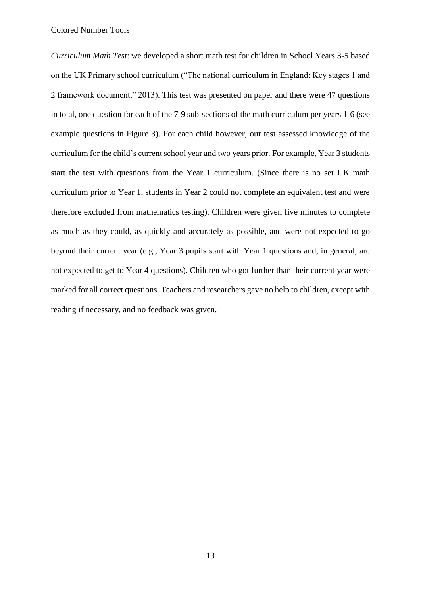*Curriculum Math Test*: we developed a short math test for children in School Years 3-5 based on the UK Primary school curriculum ("The national curriculum in England: Key stages 1 and 2 framework document," 2013). This test was presented on paper and there were 47 questions in total, one question for each of the 7-9 sub-sections of the math curriculum per years 1-6 (see example questions in Figure 3). For each child however, our test assessed knowledge of the curriculum for the child's current school year and two years prior. For example, Year 3 students start the test with questions from the Year 1 curriculum. (Since there is no set UK math curriculum prior to Year 1, students in Year 2 could not complete an equivalent test and were therefore excluded from mathematics testing). Children were given five minutes to complete as much as they could, as quickly and accurately as possible, and were not expected to go beyond their current year (e.g., Year 3 pupils start with Year 1 questions and, in general, are not expected to get to Year 4 questions). Children who got further than their current year were marked for all correct questions. Teachers and researchers gave no help to children, except with reading if necessary, and no feedback was given.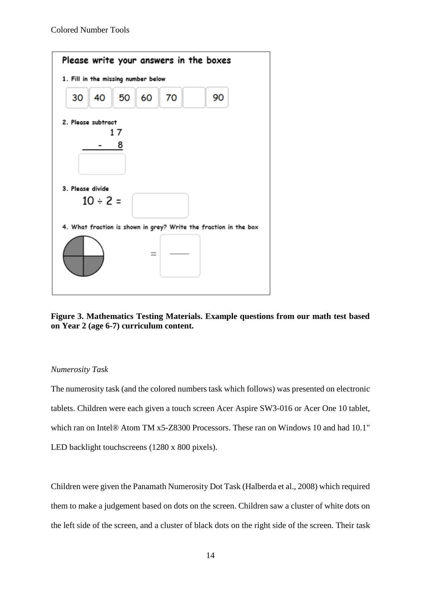

**Figure 3. Mathematics Testing Materials. Example questions from our math test based on Year 2 (age 6-7) curriculum content.**

# *Numerosity Task*

The numerosity task (and the colored numbers task which follows) was presented on electronic tablets. Children were each given a touch screen Acer Aspire SW3-016 or Acer One 10 tablet, which ran on Intel® Atom TM x5-Z8300 Processors. These ran on Windows 10 and had 10.1" LED backlight touchscreens (1280 x 800 pixels).

Children were given the Panamath Numerosity Dot Task (Halberda et al., 2008) which required them to make a judgement based on dots on the screen. Children saw a cluster of white dots on the left side of the screen, and a cluster of black dots on the right side of the screen. Their task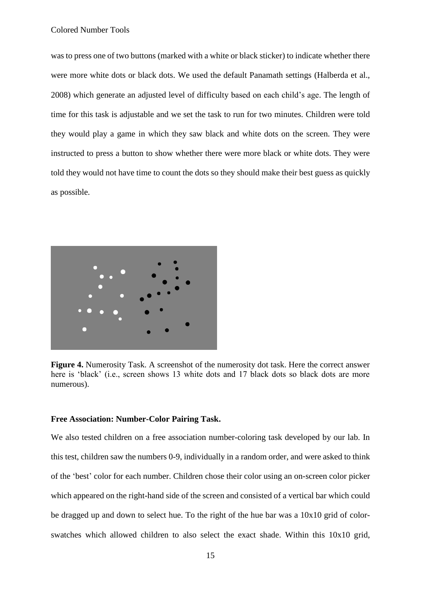was to press one of two buttons (marked with a white or black sticker) to indicate whether there were more white dots or black dots. We used the default Panamath settings (Halberda et al., 2008) which generate an adjusted level of difficulty based on each child's age. The length of time for this task is adjustable and we set the task to run for two minutes. Children were told they would play a game in which they saw black and white dots on the screen. They were instructed to press a button to show whether there were more black or white dots. They were told they would not have time to count the dots so they should make their best guess as quickly as possible.



**Figure 4.** Numerosity Task. A screenshot of the numerosity dot task. Here the correct answer here is 'black' (i.e., screen shows 13 white dots and 17 black dots so black dots are more numerous).

#### **Free Association: Number-Color Pairing Task.**

We also tested children on a free association number-coloring task developed by our lab. In this test, children saw the numbers 0-9, individually in a random order, and were asked to think of the 'best' color for each number. Children chose their color using an on-screen color picker which appeared on the right-hand side of the screen and consisted of a vertical bar which could be dragged up and down to select hue. To the right of the hue bar was a 10x10 grid of colorswatches which allowed children to also select the exact shade. Within this 10x10 grid,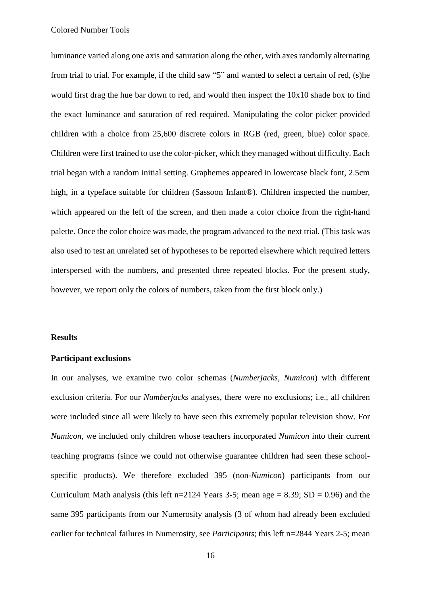luminance varied along one axis and saturation along the other, with axes randomly alternating from trial to trial. For example, if the child saw "5" and wanted to select a certain of red, (s)he would first drag the hue bar down to red, and would then inspect the 10x10 shade box to find the exact luminance and saturation of red required. Manipulating the color picker provided children with a choice from 25,600 discrete colors in RGB (red, green, blue) color space. Children were first trained to use the color-picker, which they managed without difficulty. Each trial began with a random initial setting. Graphemes appeared in lowercase black font, 2.5cm high, in a typeface suitable for children (Sassoon Infant®). Children inspected the number, which appeared on the left of the screen, and then made a color choice from the right-hand palette. Once the color choice was made, the program advanced to the next trial. (This task was also used to test an unrelated set of hypotheses to be reported elsewhere which required letters interspersed with the numbers, and presented three repeated blocks. For the present study, however, we report only the colors of numbers, taken from the first block only.)

## **Results**

#### **Participant exclusions**

In our analyses, we examine two color schemas (*Numberjacks*, *Numicon*) with different exclusion criteria. For our *Numberjacks* analyses, there were no exclusions; i.e., all children were included since all were likely to have seen this extremely popular television show. For *Numicon*, we included only children whose teachers incorporated *Numicon* into their current teaching programs (since we could not otherwise guarantee children had seen these schoolspecific products). We therefore excluded 395 (non-*Numicon*) participants from our Curriculum Math analysis (this left n=2124 Years 3-5; mean age = 8.39; SD = 0.96) and the same 395 participants from our Numerosity analysis (3 of whom had already been excluded earlier for technical failures in Numerosity, see *Participants*; this left n=2844 Years 2-5; mean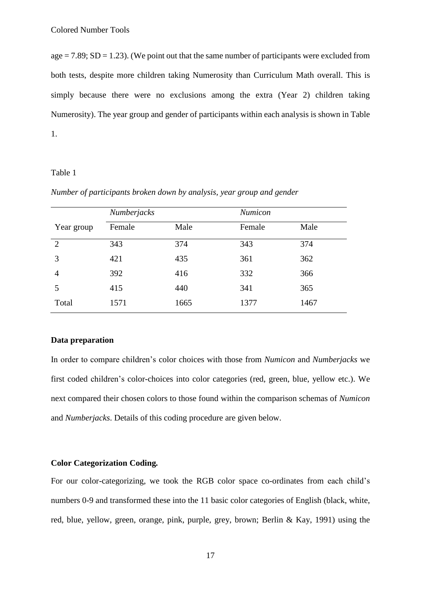age  $= 7.89$ ; SD  $= 1.23$ ). (We point out that the same number of participants were excluded from both tests, despite more children taking Numerosity than Curriculum Math overall. This is simply because there were no exclusions among the extra (Year 2) children taking Numerosity). The year group and gender of participants within each analysis is shown in Table 1.

#### Table 1

|                | Numberjacks |      | <b>Numicon</b> |      |
|----------------|-------------|------|----------------|------|
| Year group     | Female      | Male | Female         | Male |
| 2              | 343         | 374  | 343            | 374  |
| 3              | 421         | 435  | 361            | 362  |
| $\overline{4}$ | 392         | 416  | 332            | 366  |
| 5              | 415         | 440  | 341            | 365  |
| Total          | 1571        | 1665 | 1377           | 1467 |

*Number of participants broken down by analysis, year group and gender*

# **Data preparation**

In order to compare children's color choices with those from *Numicon* and *Numberjacks* we first coded children's color-choices into color categories (red, green, blue, yellow etc.). We next compared their chosen colors to those found within the comparison schemas of *Numicon* and *Numberjacks*. Details of this coding procedure are given below.

# **Color Categorization Coding***.*

For our color-categorizing, we took the RGB color space co-ordinates from each child's numbers 0-9 and transformed these into the 11 basic color categories of English (black, white, red, blue, yellow, green, orange, pink, purple, grey, brown; Berlin & Kay, 1991) using the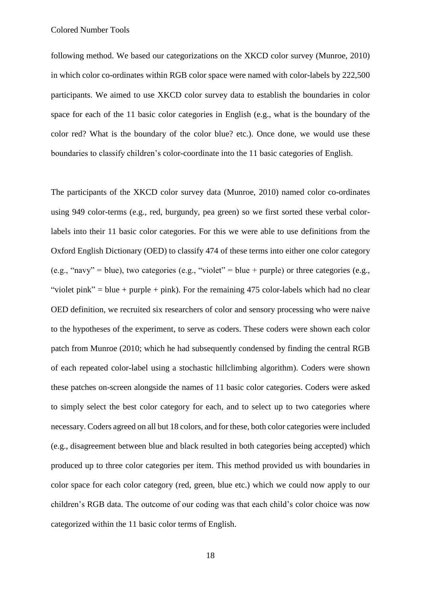following method. We based our categorizations on the XKCD color survey (Munroe, 2010) in which color co-ordinates within RGB color space were named with color-labels by 222,500 participants. We aimed to use XKCD color survey data to establish the boundaries in color space for each of the 11 basic color categories in English (e.g., what is the boundary of the color red? What is the boundary of the color blue? etc.). Once done, we would use these boundaries to classify children's color-coordinate into the 11 basic categories of English.

The participants of the XKCD color survey data (Munroe, 2010) named color co-ordinates using 949 color-terms (e.g., red, burgundy, pea green) so we first sorted these verbal colorlabels into their 11 basic color categories. For this we were able to use definitions from the Oxford English Dictionary (OED) to classify 474 of these terms into either one color category (e.g., "navy" = blue), two categories (e.g., "violet" = blue + purple) or three categories (e.g., "violet pink" = blue + purple + pink). For the remaining 475 color-labels which had no clear OED definition, we recruited six researchers of color and sensory processing who were naive to the hypotheses of the experiment, to serve as coders. These coders were shown each color patch from Munroe (2010; which he had subsequently condensed by finding the central RGB of each repeated color-label using a stochastic hillclimbing algorithm). Coders were shown these patches on-screen alongside the names of 11 basic color categories. Coders were asked to simply select the best color category for each, and to select up to two categories where necessary. Coders agreed on all but 18 colors, and for these, both color categories were included (e.g., disagreement between blue and black resulted in both categories being accepted) which produced up to three color categories per item. This method provided us with boundaries in color space for each color category (red, green, blue etc.) which we could now apply to our children's RGB data. The outcome of our coding was that each child's color choice was now categorized within the 11 basic color terms of English.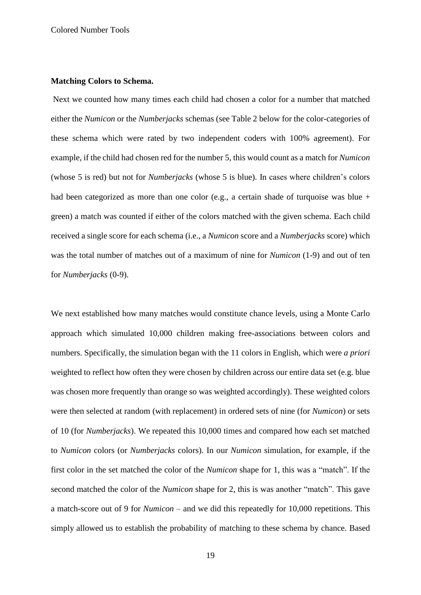#### **Matching Colors to Schema.**

Next we counted how many times each child had chosen a color for a number that matched either the *Numicon* or the *Numberjacks* schemas (see Table 2 below for the color-categories of these schema which were rated by two independent coders with 100% agreement). For example, if the child had chosen red for the number 5, this would count as a match for *Numicon* (whose 5 is red) but not for *Numberjacks* (whose 5 is blue). In cases where children's colors had been categorized as more than one color (e.g., a certain shade of turquoise was blue + green) a match was counted if either of the colors matched with the given schema. Each child received a single score for each schema (i.e., a *Numicon* score and a *Numberjacks* score) which was the total number of matches out of a maximum of nine for *Numicon* (1-9) and out of ten for *Numberjacks* (0-9).

We next established how many matches would constitute chance levels, using a Monte Carlo approach which simulated 10,000 children making free-associations between colors and numbers. Specifically, the simulation began with the 11 colors in English, which were *a priori* weighted to reflect how often they were chosen by children across our entire data set (e.g. blue was chosen more frequently than orange so was weighted accordingly). These weighted colors were then selected at random (with replacement) in ordered sets of nine (for *Numicon*) or sets of 10 (for *Numberjacks*). We repeated this 10,000 times and compared how each set matched to *Numicon* colors (or *Numberjacks* colors). In our *Numicon* simulation, for example, if the first color in the set matched the color of the *Numicon* shape for 1, this was a "match". If the second matched the color of the *Numicon* shape for 2, this is was another "match". This gave a match-score out of 9 for *Numicon* – and we did this repeatedly for 10,000 repetitions. This simply allowed us to establish the probability of matching to these schema by chance. Based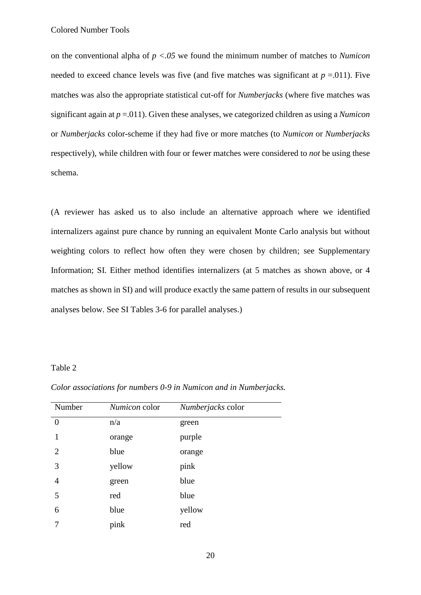on the conventional alpha of *p <.05* we found the minimum number of matches to *Numicon* needed to exceed chance levels was five (and five matches was significant at  $p = 0.011$ ). Five matches was also the appropriate statistical cut-off for *Numberjacks* (where five matches was significant again at *p* =.011). Given these analyses, we categorized children as using a *Numicon* or *Numberjacks* color-scheme if they had five or more matches (to *Numicon* or *Numberjacks* respectively), while children with four or fewer matches were considered to *not* be using these schema.

(A reviewer has asked us to also include an alternative approach where we identified internalizers against pure chance by running an equivalent Monte Carlo analysis but without weighting colors to reflect how often they were chosen by children; see Supplementary Information; SI. Either method identifies internalizers (at 5 matches as shown above, or 4 matches as shown in SI) and will produce exactly the same pattern of results in our subsequent analyses below. See SI Tables 3-6 for parallel analyses.)

# Table 2

| Number         | Numicon color | Numberjacks color |
|----------------|---------------|-------------------|
| $\overline{0}$ | n/a           | green             |
| $\mathbf{1}$   | orange        | purple            |
| $\overline{2}$ | blue          | orange            |
| 3              | yellow        | pink              |
| 4              | green         | blue              |
| 5              | red           | blue              |
| 6              | blue          | yellow            |
|                | pink          | red               |

*Color associations for numbers 0-9 in Numicon and in Numberjacks.*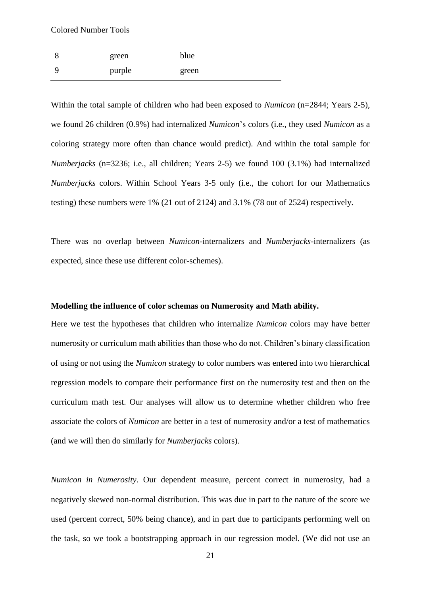| green  | blue  |
|--------|-------|
| purple | green |

Within the total sample of children who had been exposed to *Numicon* (n=2844; Years 2-5), we found 26 children (0.9%) had internalized *Numicon*'s colors (i.e., they used *Numicon* as a coloring strategy more often than chance would predict). And within the total sample for *Numberjacks* (n=3236; i.e., all children; Years 2-5) we found 100 (3.1%) had internalized *Numberjacks* colors. Within School Years 3-5 only (i.e., the cohort for our Mathematics testing) these numbers were 1% (21 out of 2124) and 3.1% (78 out of 2524) respectively.

There was no overlap between *Numicon*-internalizers and *Numberjacks*-internalizers (as expected, since these use different color-schemes).

# **Modelling the influence of color schemas on Numerosity and Math ability.**

Here we test the hypotheses that children who internalize *Numicon* colors may have better numerosity or curriculum math abilities than those who do not. Children's binary classification of using or not using the *Numicon* strategy to color numbers was entered into two hierarchical regression models to compare their performance first on the numerosity test and then on the curriculum math test. Our analyses will allow us to determine whether children who free associate the colors of *Numicon* are better in a test of numerosity and/or a test of mathematics (and we will then do similarly for *Numberjacks* colors).

*Numicon in Numerosity*. Our dependent measure, percent correct in numerosity, had a negatively skewed non-normal distribution. This was due in part to the nature of the score we used (percent correct, 50% being chance), and in part due to participants performing well on the task, so we took a bootstrapping approach in our regression model. (We did not use an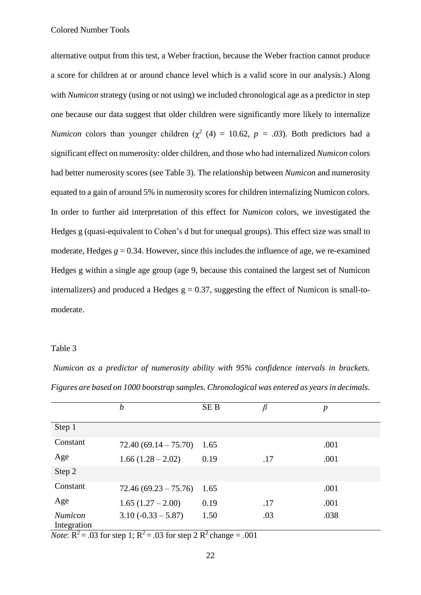alternative output from this test, a Weber fraction, because the Weber fraction cannot produce a score for children at or around chance level which is a valid score in our analysis.) Along with *Numicon* strategy (using or not using) we included chronological age as a predictor in step one because our data suggest that older children were significantly more likely to internalize *Numicon* colors than younger children ( $\chi^2$  (4) = 10.62, *p* = .03). Both predictors had a significant effect on numerosity: older children, and those who had internalized *Numicon* colors had better numerosity scores (see Table 3). The relationship between *Numicon* and numerosity equated to a gain of around 5% in numerosity scores for children internalizing Numicon colors. In order to further aid interpretation of this effect for *Numicon* colors, we investigated the Hedges g (quasi-equivalent to Cohen's d but for unequal groups). This effect size was small to moderate, Hedges  $g = 0.34$ . However, since this includes the influence of age, we re-examined Hedges g within a single age group (age 9, because this contained the largest set of Numicon internalizers) and produced a Hedges  $g = 0.37$ , suggesting the effect of Numicon is small-tomoderate.

#### Table 3

*Numicon as a predictor of numerosity ability with 95% confidence intervals in brackets. Figures are based on 1000 bootstrap samples. Chronological was entered as years in decimals.*

|             | $\boldsymbol{b}$                                                                   | <b>SEB</b> | β   | $\boldsymbol{p}$ |
|-------------|------------------------------------------------------------------------------------|------------|-----|------------------|
| Step 1      |                                                                                    |            |     |                  |
| Constant    | $72.40(69.14 - 75.70)$                                                             | 1.65       |     | .001             |
| Age         | $1.66(1.28-2.02)$                                                                  | 0.19       | .17 | .001             |
| Step 2      |                                                                                    |            |     |                  |
| Constant    | $72.46(69.23 - 75.76)$                                                             | 1.65       |     | .001             |
| Age         | $1.65(1.27-2.00)$                                                                  | 0.19       | .17 | .001             |
| Numicon     | $3.10(-0.33 - 5.87)$                                                               | 1.50       | .03 | .038             |
| Integration |                                                                                    |            |     |                  |
|             | $N_{\text{etc}}$ ; $R^2$ = 03 for step 1; $R^2$ = 03 for step 2 $R^2$ change = 001 |            |     |                  |

*Note*:  $R^2 = .03$  for step 1;  $R^2 = .03$  for step 2  $R^2$  change = .001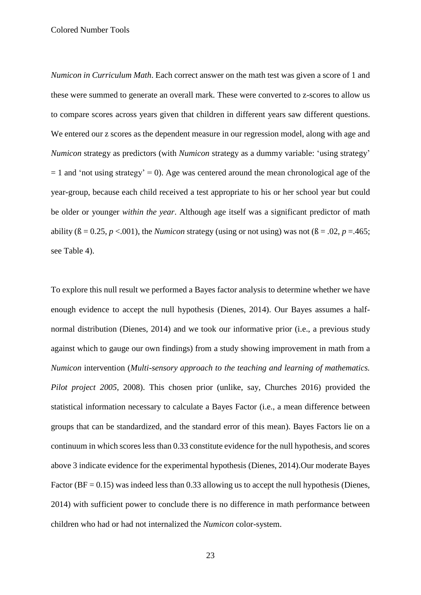*Numicon in Curriculum Math*. Each correct answer on the math test was given a score of 1 and these were summed to generate an overall mark. These were converted to z-scores to allow us to compare scores across years given that children in different years saw different questions. We entered our z scores as the dependent measure in our regression model, along with age and *Numicon* strategy as predictors (with *Numicon* strategy as a dummy variable: 'using strategy'  $= 1$  and 'not using strategy'  $= 0$ ). Age was centered around the mean chronological age of the year-group, because each child received a test appropriate to his or her school year but could be older or younger *within the year*. Although age itself was a significant predictor of math ability ( $\beta = 0.25$ ,  $p < .001$ ), the *Numicon* strategy (using or not using) was not ( $\beta = .02$ ,  $p = .465$ ; see Table 4).

To explore this null result we performed a Bayes factor analysis to determine whether we have enough evidence to accept the null hypothesis (Dienes, 2014). Our Bayes assumes a halfnormal distribution (Dienes, 2014) and we took our informative prior (i.e., a previous study against which to gauge our own findings) from a study showing improvement in math from a *Numicon* intervention (*Multi-sensory approach to the teaching and learning of mathematics. Pilot project 2005*, 2008). This chosen prior (unlike, say, Churches 2016) provided the statistical information necessary to calculate a Bayes Factor (i.e., a mean difference between groups that can be standardized, and the standard error of this mean). Bayes Factors lie on a continuum in which scores less than 0.33 constitute evidence for the null hypothesis, and scores above 3 indicate evidence for the experimental hypothesis (Dienes, 2014).Our moderate Bayes Factor ( $BF = 0.15$ ) was indeed less than 0.33 allowing us to accept the null hypothesis (Dienes, 2014) with sufficient power to conclude there is no difference in math performance between children who had or had not internalized the *Numicon* color-system.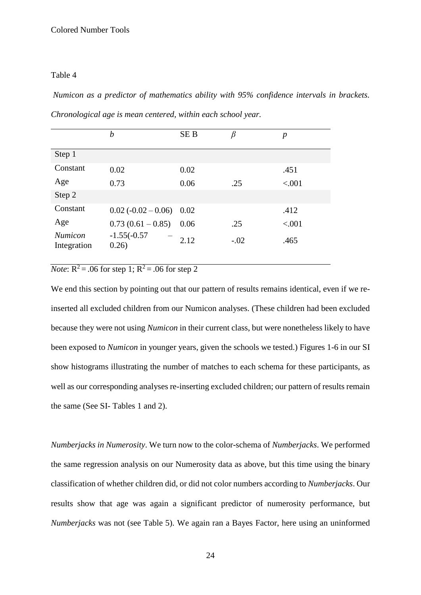# Table 4

*Numicon as a predictor of mathematics ability with 95% confidence intervals in brackets. Chronological age is mean centered, within each school year.*

|                               | $\boldsymbol{b}$        | <b>SEB</b> | β      | $\boldsymbol{p}$ |
|-------------------------------|-------------------------|------------|--------|------------------|
| Step 1                        |                         |            |        |                  |
| Constant                      | 0.02                    | 0.02       |        | .451             |
| Age                           | 0.73                    | 0.06       | .25    | < 0.001          |
| Step 2                        |                         |            |        |                  |
| Constant                      | $0.02(-0.02-0.06)$      | 0.02       |        | .412             |
| Age                           | $0.73(0.61-0.85)$       | 0.06       | .25    | < .001           |
| <i>Numicon</i><br>Integration | $-1.55(-0.57)$<br>0.26) | 2.12       | $-.02$ | .465             |

*Note*:  $R^2 = .06$  for step 1;  $R^2 = .06$  for step 2

We end this section by pointing out that our pattern of results remains identical, even if we reinserted all excluded children from our Numicon analyses. (These children had been excluded because they were not using *Numicon* in their current class, but were nonetheless likely to have been exposed to *Numicon* in younger years, given the schools we tested.) Figures 1-6 in our SI show histograms illustrating the number of matches to each schema for these participants, as well as our corresponding analyses re-inserting excluded children; our pattern of results remain the same (See SI- Tables 1 and 2).

*Numberjacks in Numerosity*. We turn now to the color-schema of *Numberjacks*. We performed the same regression analysis on our Numerosity data as above, but this time using the binary classification of whether children did, or did not color numbers according to *Numberjacks*. Our results show that age was again a significant predictor of numerosity performance, but *Numberjacks* was not (see Table 5). We again ran a Bayes Factor, here using an uninformed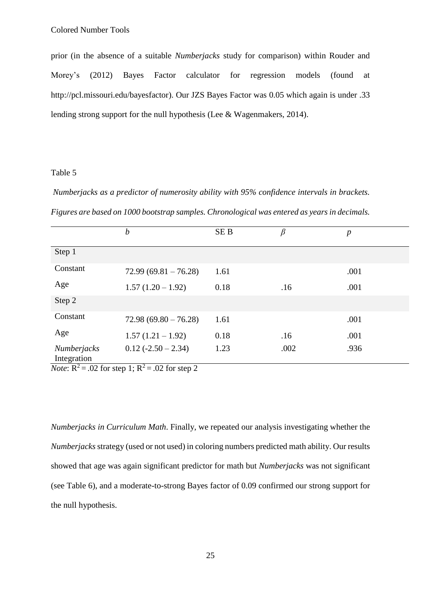prior (in the absence of a suitable *Numberjacks* study for comparison) within Rouder and Morey's (2012) Bayes Factor calculator for regression models (found at http://pcl.missouri.edu/bayesfactor). Our JZS Bayes Factor was 0.05 which again is under .33 lending strong support for the null hypothesis (Lee & Wagenmakers, 2014).

# Table 5

*Numberjacks as a predictor of numerosity ability with 95% confidence intervals in brackets. Figures are based on 1000 bootstrap samples. Chronological was entered as years in decimals.*

|                            | b                      | SE <sub>B</sub> | $\beta$ | $\boldsymbol{p}$ |
|----------------------------|------------------------|-----------------|---------|------------------|
| Step 1                     |                        |                 |         |                  |
| Constant                   | $72.99(69.81 - 76.28)$ | 1.61            |         | .001             |
| Age                        | $1.57(1.20-1.92)$      | 0.18            | .16     | .001             |
| Step 2                     |                        |                 |         |                  |
| Constant                   | $72.98(69.80 - 76.28)$ | 1.61            |         | .001             |
| Age                        | $1.57(1.21-1.92)$      | 0.18            | .16     | .001             |
| Numberjacks<br>Integration | $0.12(-2.50 - 2.34)$   | 1.23            | .002    | .936             |

*Note*:  $R^2 = .02$  for step 1;  $R^2 = .02$  for step 2

*Numberjacks in Curriculum Math*. Finally, we repeated our analysis investigating whether the *Numberjacks*strategy (used or not used) in coloring numbers predicted math ability. Our results showed that age was again significant predictor for math but *Numberjacks* was not significant (see Table 6), and a moderate-to-strong Bayes factor of 0.09 confirmed our strong support for the null hypothesis.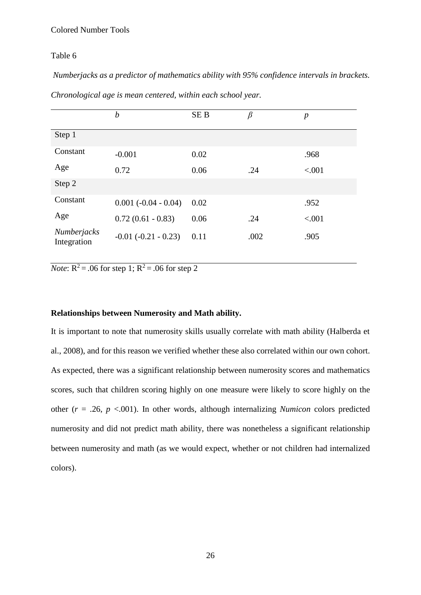# Table 6

*Numberjacks as a predictor of mathematics ability with 95% confidence intervals in brackets. Chronological age is mean centered, within each school year.*

|                                   | $\boldsymbol{b}$       | <b>SEB</b> | $\beta$ | $\boldsymbol{p}$ |
|-----------------------------------|------------------------|------------|---------|------------------|
| Step 1                            |                        |            |         |                  |
| Constant                          | $-0.001$               | 0.02       |         | .968             |
| Age                               | 0.72                   | 0.06       | .24     | < .001           |
| Step 2                            |                        |            |         |                  |
| Constant                          | $0.001 (-0.04 - 0.04)$ | 0.02       |         | .952             |
| Age                               | $0.72(0.61 - 0.83)$    | 0.06       | .24     | < .001           |
| <b>Numberjacks</b><br>Integration | $-0.01 (-0.21 - 0.23)$ | 0.11       | .002    | .905             |

*Note*:  $R^2$  = .06 for step 1;  $R^2$  = .06 for step 2

# **Relationships between Numerosity and Math ability.**

It is important to note that numerosity skills usually correlate with math ability (Halberda et al., 2008), and for this reason we verified whether these also correlated within our own cohort. As expected, there was a significant relationship between numerosity scores and mathematics scores, such that children scoring highly on one measure were likely to score highly on the other (*r* = .26, *p* <.001). In other words, although internalizing *Numicon* colors predicted numerosity and did not predict math ability, there was nonetheless a significant relationship between numerosity and math (as we would expect, whether or not children had internalized colors).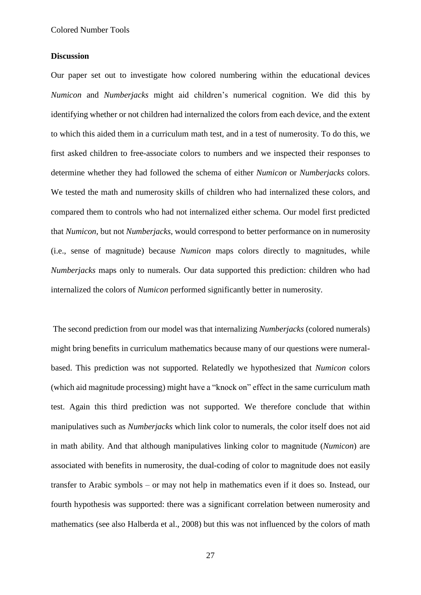# **Discussion**

Our paper set out to investigate how colored numbering within the educational devices *Numicon* and *Numberjacks* might aid children's numerical cognition. We did this by identifying whether or not children had internalized the colors from each device, and the extent to which this aided them in a curriculum math test, and in a test of numerosity. To do this, we first asked children to free-associate colors to numbers and we inspected their responses to determine whether they had followed the schema of either *Numicon* or *Numberjacks* colors. We tested the math and numerosity skills of children who had internalized these colors, and compared them to controls who had not internalized either schema. Our model first predicted that *Numicon*, but not *Numberjacks*, would correspond to better performance on in numerosity (i.e., sense of magnitude) because *Numicon* maps colors directly to magnitudes, while *Numberjacks* maps only to numerals. Our data supported this prediction: children who had internalized the colors of *Numicon* performed significantly better in numerosity.

The second prediction from our model was that internalizing *Numberjacks* (colored numerals) might bring benefits in curriculum mathematics because many of our questions were numeralbased. This prediction was not supported. Relatedly we hypothesized that *Numicon* colors (which aid magnitude processing) might have a "knock on" effect in the same curriculum math test. Again this third prediction was not supported. We therefore conclude that within manipulatives such as *Numberjacks* which link color to numerals, the color itself does not aid in math ability. And that although manipulatives linking color to magnitude (*Numicon*) are associated with benefits in numerosity, the dual-coding of color to magnitude does not easily transfer to Arabic symbols – or may not help in mathematics even if it does so. Instead, our fourth hypothesis was supported: there was a significant correlation between numerosity and mathematics (see also Halberda et al., 2008) but this was not influenced by the colors of math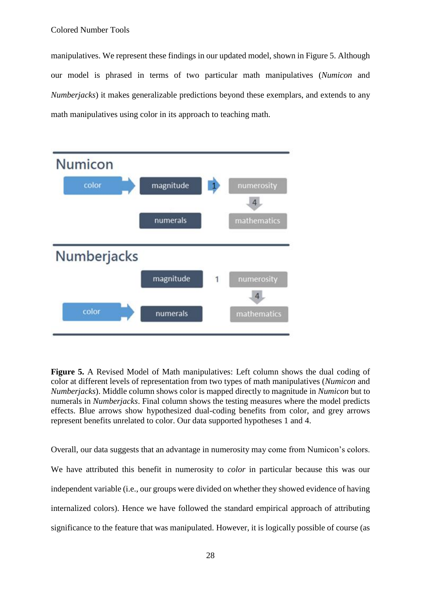manipulatives. We represent these findings in our updated model, shown in Figure 5. Although our model is phrased in terms of two particular math manipulatives (*Numicon* and *Numberjacks*) it makes generalizable predictions beyond these exemplars, and extends to any math manipulatives using color in its approach to teaching math.



**Figure 5.** A Revised Model of Math manipulatives: Left column shows the dual coding of color at different levels of representation from two types of math manipulatives (*Numicon* and *Numberjacks*). Middle column shows color is mapped directly to magnitude in *Numicon* but to numerals in *Numberjacks*. Final column shows the testing measures where the model predicts effects. Blue arrows show hypothesized dual-coding benefits from color, and grey arrows represent benefits unrelated to color. Our data supported hypotheses 1 and 4.

Overall, our data suggests that an advantage in numerosity may come from Numicon's colors. We have attributed this benefit in numerosity to *color* in particular because this was our independent variable (i.e., our groups were divided on whether they showed evidence of having internalized colors). Hence we have followed the standard empirical approach of attributing significance to the feature that was manipulated. However, it is logically possible of course (as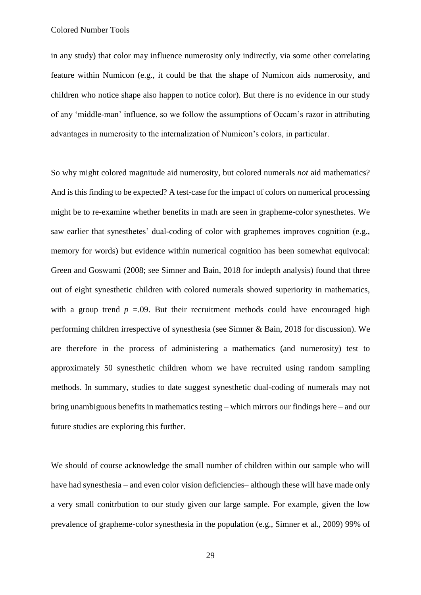in any study) that color may influence numerosity only indirectly, via some other correlating feature within Numicon (e.g., it could be that the shape of Numicon aids numerosity, and children who notice shape also happen to notice color). But there is no evidence in our study of any 'middle-man' influence, so we follow the assumptions of Occam's razor in attributing advantages in numerosity to the internalization of Numicon's colors, in particular.

So why might colored magnitude aid numerosity, but colored numerals *not* aid mathematics? And is this finding to be expected? A test-case for the impact of colors on numerical processing might be to re-examine whether benefits in math are seen in grapheme-color synesthetes. We saw earlier that synesthetes' dual-coding of color with graphemes improves cognition (e.g., memory for words) but evidence within numerical cognition has been somewhat equivocal: Green and Goswami (2008; see Simner and Bain, 2018 for indepth analysis) found that three out of eight synesthetic children with colored numerals showed superiority in mathematics, with a group trend  $p = 0.09$ . But their recruitment methods could have encouraged high performing children irrespective of synesthesia (see Simner & Bain, 2018 for discussion). We are therefore in the process of administering a mathematics (and numerosity) test to approximately 50 synesthetic children whom we have recruited using random sampling methods. In summary, studies to date suggest synesthetic dual-coding of numerals may not bring unambiguous benefits in mathematics testing – which mirrors our findings here – and our future studies are exploring this further.

We should of course acknowledge the small number of children within our sample who will have had synesthesia – and even color vision deficiencies– although these will have made only a very small conitrbution to our study given our large sample. For example, given the low prevalence of grapheme-color synesthesia in the population (e.g., Simner et al., 2009) 99% of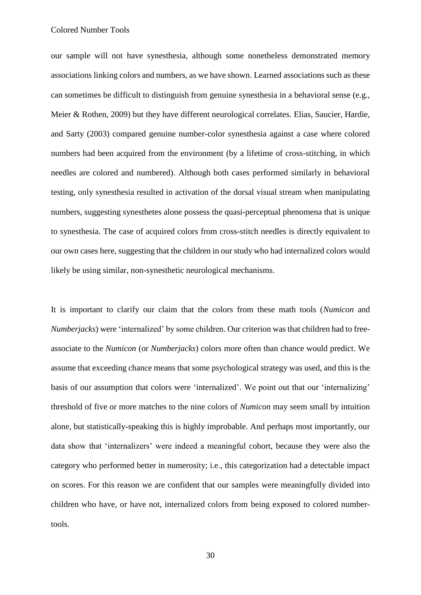our sample will not have synesthesia, although some nonetheless demonstrated memory associations linking colors and numbers, as we have shown. Learned associations such as these can sometimes be difficult to distinguish from genuine synesthesia in a behavioral sense (e.g., Meier & Rothen, 2009) but they have different neurological correlates. Elias, Saucier, Hardie, and Sarty (2003) compared genuine number-color synesthesia against a case where colored numbers had been acquired from the environment (by a lifetime of cross-stitching, in which needles are colored and numbered). Although both cases performed similarly in behavioral testing, only synesthesia resulted in activation of the dorsal visual stream when manipulating numbers, suggesting synesthetes alone possess the quasi-perceptual phenomena that is unique to synesthesia. The case of acquired colors from cross-stitch needles is directly equivalent to our own cases here, suggesting that the children in our study who had internalized colors would likely be using similar, non-synesthetic neurological mechanisms.

It is important to clarify our claim that the colors from these math tools (*Numicon* and *Numberjacks*) were 'internalized' by some children. Our criterion was that children had to freeassociate to the *Numicon* (or *Numberjacks*) colors more often than chance would predict. We assume that exceeding chance means that some psychological strategy was used, and this is the basis of our assumption that colors were 'internalized'. We point out that our 'internalizing' threshold of five or more matches to the nine colors of *Numicon* may seem small by intuition alone, but statistically-speaking this is highly improbable. And perhaps most importantly, our data show that 'internalizers' were indeed a meaningful cohort, because they were also the category who performed better in numerosity; i.e., this categorization had a detectable impact on scores. For this reason we are confident that our samples were meaningfully divided into children who have, or have not, internalized colors from being exposed to colored numbertools.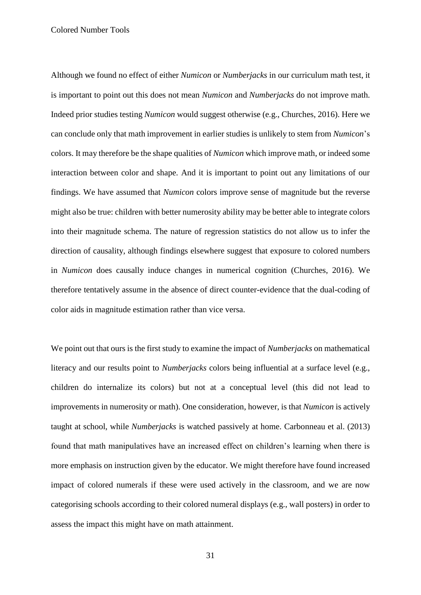Although we found no effect of either *Numicon* or *Numberjacks* in our curriculum math test, it is important to point out this does not mean *Numicon* and *Numberjacks* do not improve math. Indeed prior studies testing *Numicon* would suggest otherwise (e.g., Churches, 2016). Here we can conclude only that math improvement in earlier studies is unlikely to stem from *Numicon*'s colors. It may therefore be the shape qualities of *Numicon* which improve math, or indeed some interaction between color and shape. And it is important to point out any limitations of our findings. We have assumed that *Numicon* colors improve sense of magnitude but the reverse might also be true: children with better numerosity ability may be better able to integrate colors into their magnitude schema. The nature of regression statistics do not allow us to infer the direction of causality, although findings elsewhere suggest that exposure to colored numbers in *Numicon* does causally induce changes in numerical cognition (Churches, 2016). We therefore tentatively assume in the absence of direct counter-evidence that the dual-coding of color aids in magnitude estimation rather than vice versa.

We point out that ours is the first study to examine the impact of *Numberjacks* on mathematical literacy and our results point to *Numberjacks* colors being influential at a surface level (e.g., children do internalize its colors) but not at a conceptual level (this did not lead to improvements in numerosity or math). One consideration, however, is that *Numicon* is actively taught at school, while *Numberjacks* is watched passively at home. Carbonneau et al. (2013) found that math manipulatives have an increased effect on children's learning when there is more emphasis on instruction given by the educator. We might therefore have found increased impact of colored numerals if these were used actively in the classroom, and we are now categorising schools according to their colored numeral displays (e.g., wall posters) in order to assess the impact this might have on math attainment.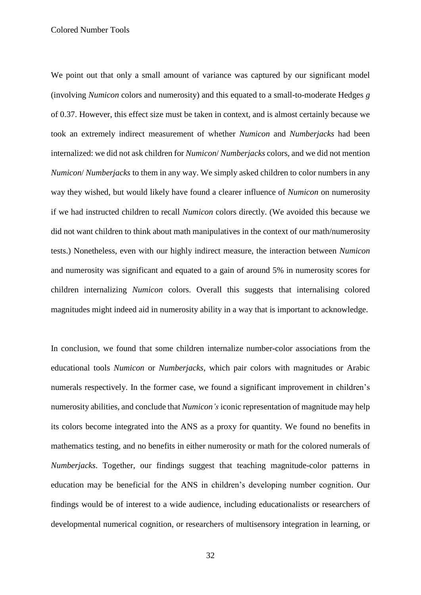We point out that only a small amount of variance was captured by our significant model (involving *Numicon* colors and numerosity) and this equated to a small-to-moderate Hedges *g* of 0.37. However, this effect size must be taken in context, and is almost certainly because we took an extremely indirect measurement of whether *Numicon* and *Numberjacks* had been internalized: we did not ask children for *Numicon*/ *Numberjacks* colors, and we did not mention *Numicon*/ *Numberjacks* to them in any way. We simply asked children to color numbers in any way they wished, but would likely have found a clearer influence of *Numicon* on numerosity if we had instructed children to recall *Numicon* colors directly. (We avoided this because we did not want children to think about math manipulatives in the context of our math/numerosity tests.) Nonetheless, even with our highly indirect measure, the interaction between *Numicon* and numerosity was significant and equated to a gain of around 5% in numerosity scores for children internalizing *Numicon* colors. Overall this suggests that internalising colored magnitudes might indeed aid in numerosity ability in a way that is important to acknowledge.

In conclusion, we found that some children internalize number-color associations from the educational tools *Numicon* or *Numberjacks*, which pair colors with magnitudes or Arabic numerals respectively. In the former case, we found a significant improvement in children's numerosity abilities, and conclude that *Numicon's* iconic representation of magnitude may help its colors become integrated into the ANS as a proxy for quantity. We found no benefits in mathematics testing, and no benefits in either numerosity or math for the colored numerals of *Numberjacks*. Together, our findings suggest that teaching magnitude-color patterns in education may be beneficial for the ANS in children's developing number cognition. Our findings would be of interest to a wide audience, including educationalists or researchers of developmental numerical cognition, or researchers of multisensory integration in learning, or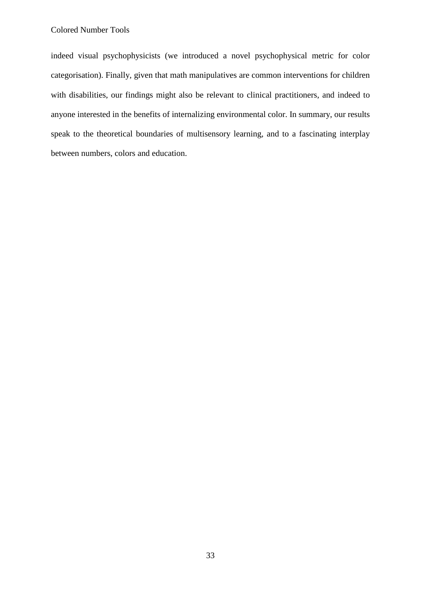indeed visual psychophysicists (we introduced a novel psychophysical metric for color categorisation). Finally, given that math manipulatives are common interventions for children with disabilities, our findings might also be relevant to clinical practitioners, and indeed to anyone interested in the benefits of internalizing environmental color. In summary, our results speak to the theoretical boundaries of multisensory learning, and to a fascinating interplay between numbers, colors and education.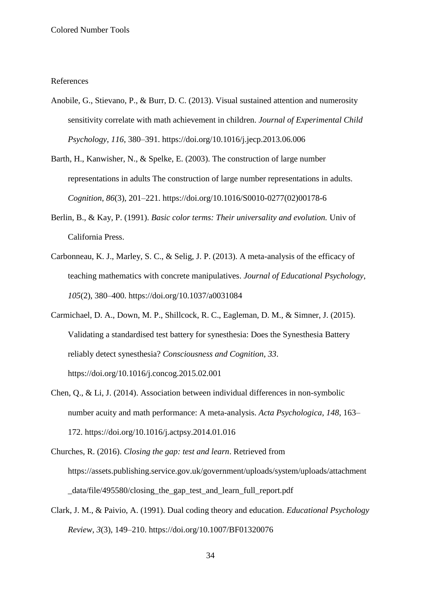References

- Anobile, G., Stievano, P., & Burr, D. C. (2013). Visual sustained attention and numerosity sensitivity correlate with math achievement in children. *Journal of Experimental Child Psychology*, *116*, 380–391. https://doi.org/10.1016/j.jecp.2013.06.006
- Barth, H., Kanwisher, N., & Spelke, E. (2003). The construction of large number representations in adults The construction of large number representations in adults. *Cognition*, *86*(3), 201–221. https://doi.org/10.1016/S0010-0277(02)00178-6
- Berlin, B., & Kay, P. (1991). *Basic color terms: Their universality and evolution.* Univ of California Press.
- Carbonneau, K. J., Marley, S. C., & Selig, J. P. (2013). A meta-analysis of the efficacy of teaching mathematics with concrete manipulatives. *Journal of Educational Psychology*, *105*(2), 380–400. https://doi.org/10.1037/a0031084
- Carmichael, D. A., Down, M. P., Shillcock, R. C., Eagleman, D. M., & Simner, J. (2015). Validating a standardised test battery for synesthesia: Does the Synesthesia Battery reliably detect synesthesia? *Consciousness and Cognition*, *33*. https://doi.org/10.1016/j.concog.2015.02.001
- Chen, Q., & Li, J. (2014). Association between individual differences in non-symbolic number acuity and math performance: A meta-analysis. *Acta Psychologica*, *148*, 163– 172. https://doi.org/10.1016/j.actpsy.2014.01.016
- Churches, R. (2016). *Closing the gap: test and learn*. Retrieved from https://assets.publishing.service.gov.uk/government/uploads/system/uploads/attachment \_data/file/495580/closing\_the\_gap\_test\_and\_learn\_full\_report.pdf
- Clark, J. M., & Paivio, A. (1991). Dual coding theory and education. *Educational Psychology Review*, *3*(3), 149–210. https://doi.org/10.1007/BF01320076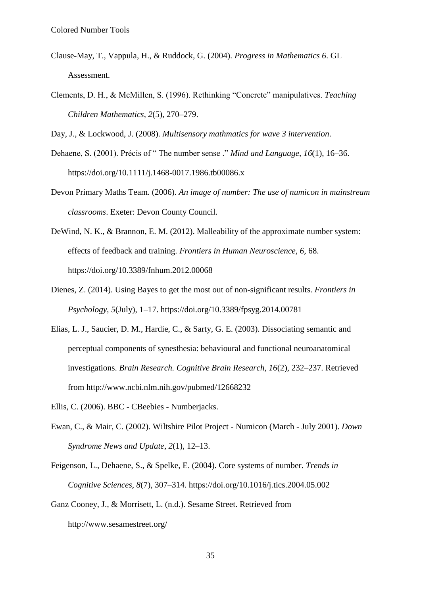- Clause-May, T., Vappula, H., & Ruddock, G. (2004). *Progress in Mathematics 6*. GL Assessment.
- Clements, D. H., & McMillen, S. (1996). Rethinking "Concrete" manipulatives. *Teaching Children Mathematics*, *2*(5), 270–279.

Day, J., & Lockwood, J. (2008). *Multisensory mathmatics for wave 3 intervention*.

- Dehaene, S. (2001). Précis of " The number sense ." *Mind and Language*, *16*(1), 16–36. https://doi.org/10.1111/j.1468-0017.1986.tb00086.x
- Devon Primary Maths Team. (2006). *An image of number: The use of numicon in mainstream classrooms*. Exeter: Devon County Council.
- DeWind, N. K., & Brannon, E. M. (2012). Malleability of the approximate number system: effects of feedback and training. *Frontiers in Human Neuroscience*, *6*, 68. https://doi.org/10.3389/fnhum.2012.00068
- Dienes, Z. (2014). Using Bayes to get the most out of non-significant results. *Frontiers in Psychology*, *5*(July), 1–17. https://doi.org/10.3389/fpsyg.2014.00781
- Elias, L. J., Saucier, D. M., Hardie, C., & Sarty, G. E. (2003). Dissociating semantic and perceptual components of synesthesia: behavioural and functional neuroanatomical investigations. *Brain Research. Cognitive Brain Research*, *16*(2), 232–237. Retrieved from http://www.ncbi.nlm.nih.gov/pubmed/12668232
- Ellis, C. (2006). BBC CBeebies Numberjacks.
- Ewan, C., & Mair, C. (2002). Wiltshire Pilot Project Numicon (March July 2001). *Down Syndrome News and Update*, *2*(1), 12–13.
- Feigenson, L., Dehaene, S., & Spelke, E. (2004). Core systems of number. *Trends in Cognitive Sciences*, *8*(7), 307–314. https://doi.org/10.1016/j.tics.2004.05.002
- Ganz Cooney, J., & Morrisett, L. (n.d.). Sesame Street. Retrieved from http://www.sesamestreet.org/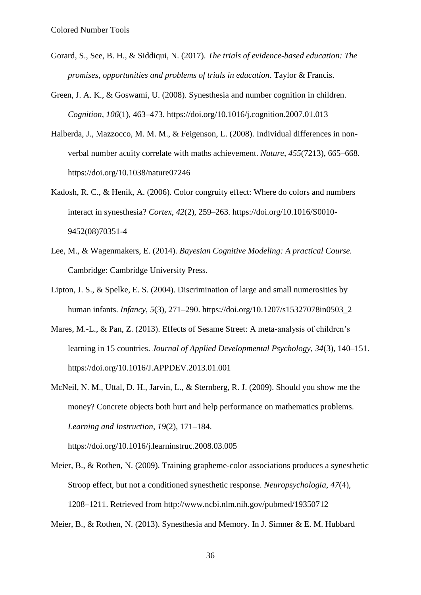- Gorard, S., See, B. H., & Siddiqui, N. (2017). *The trials of evidence-based education: The promises, opportunities and problems of trials in education*. Taylor & Francis.
- Green, J. A. K., & Goswami, U. (2008). Synesthesia and number cognition in children. *Cognition*, *106*(1), 463–473. https://doi.org/10.1016/j.cognition.2007.01.013
- Halberda, J., Mazzocco, M. M. M., & Feigenson, L. (2008). Individual differences in nonverbal number acuity correlate with maths achievement. *Nature*, *455*(7213), 665–668. https://doi.org/10.1038/nature07246
- Kadosh, R. C., & Henik, A. (2006). Color congruity effect: Where do colors and numbers interact in synesthesia? *Cortex*, *42*(2), 259–263. https://doi.org/10.1016/S0010- 9452(08)70351-4
- Lee, M., & Wagenmakers, E. (2014). *Bayesian Cognitive Modeling: A practical Course.* Cambridge: Cambridge University Press.
- Lipton, J. S., & Spelke, E. S. (2004). Discrimination of large and small numerosities by human infants. *Infancy*, *5*(3), 271–290. https://doi.org/10.1207/s15327078in0503\_2
- Mares, M.-L., & Pan, Z. (2013). Effects of Sesame Street: A meta-analysis of children's learning in 15 countries. *Journal of Applied Developmental Psychology*, *34*(3), 140–151. https://doi.org/10.1016/J.APPDEV.2013.01.001
- McNeil, N. M., Uttal, D. H., Jarvin, L., & Sternberg, R. J. (2009). Should you show me the money? Concrete objects both hurt and help performance on mathematics problems. *Learning and Instruction*, *19*(2), 171–184.

https://doi.org/10.1016/j.learninstruc.2008.03.005

- Meier, B., & Rothen, N. (2009). Training grapheme-color associations produces a synesthetic Stroop effect, but not a conditioned synesthetic response. *Neuropsychologia*, *47*(4), 1208–1211. Retrieved from http://www.ncbi.nlm.nih.gov/pubmed/19350712
- Meier, B., & Rothen, N. (2013). Synesthesia and Memory. In J. Simner & E. M. Hubbard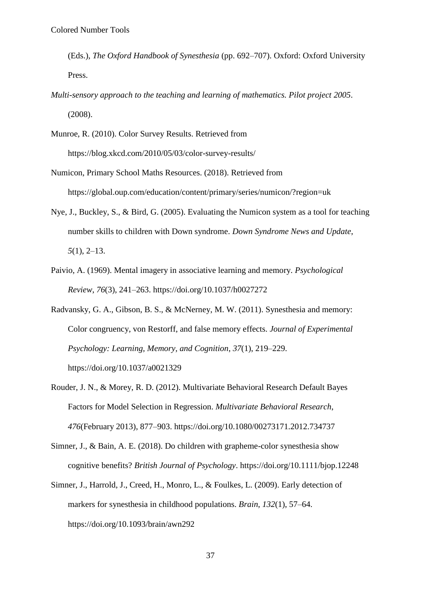(Eds.), *The Oxford Handbook of Synesthesia* (pp. 692–707). Oxford: Oxford University Press.

*Multi-sensory approach to the teaching and learning of mathematics. Pilot project 2005*. (2008).

Munroe, R. (2010). Color Survey Results. Retrieved from https://blog.xkcd.com/2010/05/03/color-survey-results/

- Numicon, Primary School Maths Resources. (2018). Retrieved from https://global.oup.com/education/content/primary/series/numicon/?region=uk
- Nye, J., Buckley, S., & Bird, G. (2005). Evaluating the Numicon system as a tool for teaching number skills to children with Down syndrome. *Down Syndrome News and Update*, *5*(1), 2–13.
- Paivio, A. (1969). Mental imagery in associative learning and memory. *Psychological Review*, *76*(3), 241–263. https://doi.org/10.1037/h0027272
- Radvansky, G. A., Gibson, B. S., & McNerney, M. W. (2011). Synesthesia and memory: Color congruency, von Restorff, and false memory effects. *Journal of Experimental Psychology: Learning, Memory, and Cognition*, *37*(1), 219–229. https://doi.org/10.1037/a0021329
- Rouder, J. N., & Morey, R. D. (2012). Multivariate Behavioral Research Default Bayes Factors for Model Selection in Regression. *Multivariate Behavioral Research*, *476*(February 2013), 877–903. https://doi.org/10.1080/00273171.2012.734737
- Simner, J., & Bain, A. E. (2018). Do children with grapheme-color synesthesia show cognitive benefits? *British Journal of Psychology*. https://doi.org/10.1111/bjop.12248
- Simner, J., Harrold, J., Creed, H., Monro, L., & Foulkes, L. (2009). Early detection of markers for synesthesia in childhood populations. *Brain*, *132*(1), 57–64. https://doi.org/10.1093/brain/awn292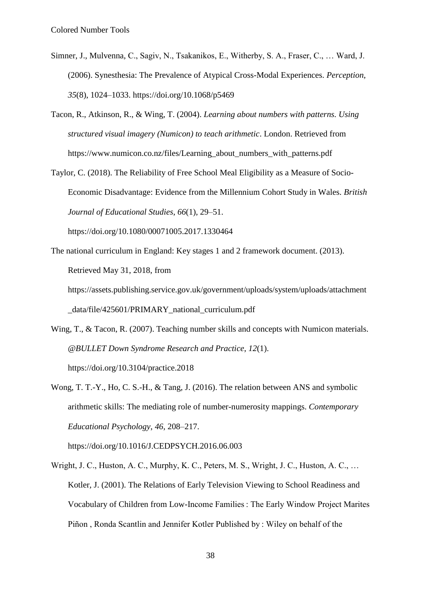- Simner, J., Mulvenna, C., Sagiv, N., Tsakanikos, E., Witherby, S. A., Fraser, C., … Ward, J. (2006). Synesthesia: The Prevalence of Atypical Cross-Modal Experiences. *Perception*, *35*(8), 1024–1033. https://doi.org/10.1068/p5469
- Tacon, R., Atkinson, R., & Wing, T. (2004). *Learning about numbers with patterns. Using structured visual imagery (Numicon) to teach arithmetic*. London. Retrieved from https://www.numicon.co.nz/files/Learning about numbers with patterns.pdf
- Taylor, C. (2018). The Reliability of Free School Meal Eligibility as a Measure of Socio-Economic Disadvantage: Evidence from the Millennium Cohort Study in Wales. *British Journal of Educational Studies*, *66*(1), 29–51.

https://doi.org/10.1080/00071005.2017.1330464

The national curriculum in England: Key stages 1 and 2 framework document. (2013). Retrieved May 31, 2018, from https://assets.publishing.service.gov.uk/government/uploads/system/uploads/attachment

data/file/425601/PRIMARY\_national\_curriculum.pdf

- Wing, T., & Tacon, R. (2007). Teaching number skills and concepts with Numicon materials. *@BULLET Down Syndrome Research and Practice*, *12*(1). https://doi.org/10.3104/practice.2018
- Wong, T. T.-Y., Ho, C. S.-H., & Tang, J. (2016). The relation between ANS and symbolic arithmetic skills: The mediating role of number-numerosity mappings. *Contemporary Educational Psychology*, *46*, 208–217.

https://doi.org/10.1016/J.CEDPSYCH.2016.06.003

Wright, J. C., Huston, A. C., Murphy, K. C., Peters, M. S., Wright, J. C., Huston, A. C., … Kotler, J. (2001). The Relations of Early Television Viewing to School Readiness and Vocabulary of Children from Low-Income Families : The Early Window Project Marites Piñon , Ronda Scantlin and Jennifer Kotler Published by : Wiley on behalf of the